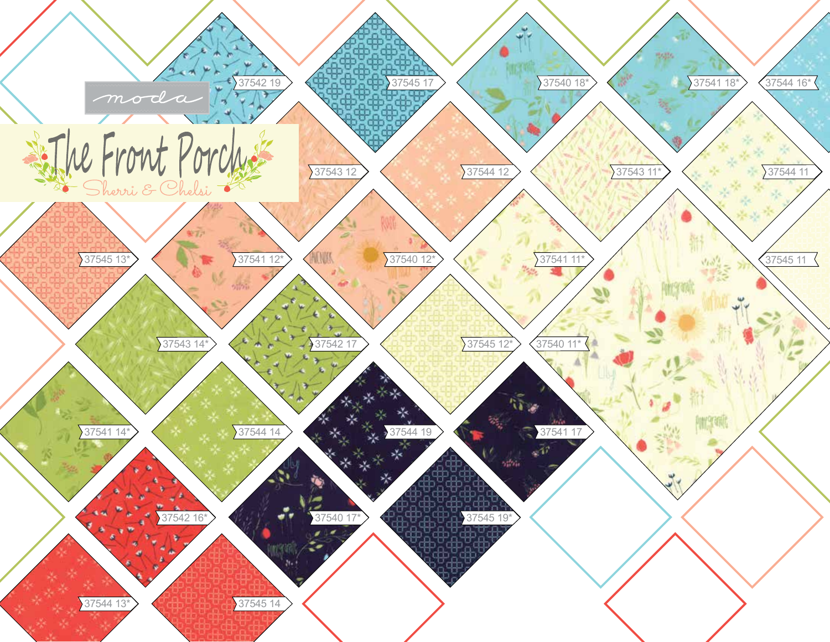